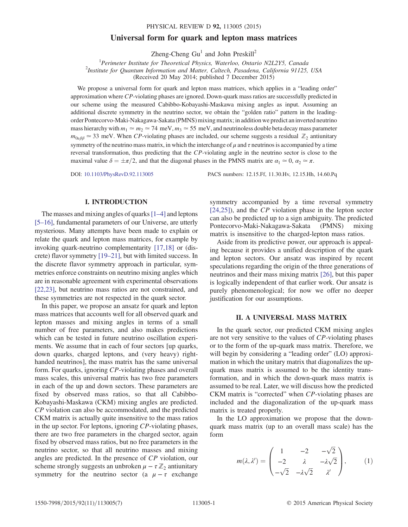# Universal form for quark and lepton mass matrices

Zheng-Cheng  $Gu<sup>1</sup>$  and John Preskill<sup>2</sup>

<sup>1</sup> Perimeter Institute for Theoretical Physics, Waterloo, Ontario N2L2Y5, Canada<br><sup>2</sup> Institute for Quantum Information and Matter, Caltesh, Basedana, California 01125

 $^{2}$ Institute for Ouantum Information and Matter, Caltech, Pasadena, California 91125, USA

(Received 20 May 2014; published 7 December 2015)

We propose a universal form for quark and lepton mass matrices, which applies in a "leading order" approximation where CP-violating phases are ignored. Down-quark mass ratios are successfully predicted in our scheme using the measured Cabibbo-Kobayashi-Maskawa mixing angles as input. Assuming an additional discrete symmetry in the neutrino sector, we obtain the "golden ratio" pattern in the leadingorder Pontecorvo-Maki-Nakagawa-Sakata (PMNS) mixing matrix; in addition we predict an inverted neutrino mass hierarchy with  $m_1 \simeq m_2 \simeq 74 \text{ meV}, m_3 \simeq 55 \text{ meV}$ , and neutrinoless double beta decay mass parameter  $m_{0\nu\beta\beta} \approx 33$  meV. When CP-violating phases are included, our scheme suggests a residual  $\mathbb{Z}_2$  antiunitary symmetry of the neutrino mass matrix, in which the interchange of  $\mu$  and  $\tau$  neutrinos is accompanied by a time reversal transformation, thus predicting that the CP-violating angle in the neutrino sector is close to the maximal value  $\delta = \pm \pi/2$ , and that the diagonal phases in the PMNS matrix are  $\alpha_1 \approx 0$ ,  $\alpha_2 \approx \pi$ .

DOI: [10.1103/PhysRevD.92.113005](http://dx.doi.org/10.1103/PhysRevD.92.113005) PACS numbers: 12.15.Ff, 11.30.Hv, 12.15.Hh, 14.60.Pq

## I. INTRODUCTION

The masses and mixing angles of quarks  $[1-4]$  $[1-4]$  and leptons [5–[16\]](#page-6-1), fundamental parameters of our Universe, are utterly mysterious. Many attempts have been made to explain or relate the quark and lepton mass matrices, for example by invoking quark-neutrino complementarity [\[17,18\]](#page-6-2) or (discrete) flavor symmetry [19–[21\]](#page-6-3), but with limited success. In the discrete flavor symmetry approach in particular, symmetries enforce constraints on neutrino mixing angles which are in reasonable agreement with experimental observations [\[22,23\]](#page-6-4), but neutrino mass ratios are not constrained, and these symmetries are not respected in the quark sector.

In this paper, we propose an ansatz for quark and lepton mass matrices that accounts well for all observed quark and lepton masses and mixing angles in terms of a small number of free parameters, and also makes predictions which can be tested in future neutrino oscillation experiments. We assume that in each of four sectors [up quarks, down quarks, charged leptons, and (very heavy) righthanded neutrinos], the mass matrix has the same universal form. For quarks, ignoring CP-violating phases and overall mass scales, this universal matrix has two free parameters in each of the up and down sectors. These parameters are fixed by observed mass ratios, so that all Cabibbo-Kobayashi-Maskawa (CKM) mixing angles are predicted. CP violation can also be accommodated, and the predicted CKM matrix is actually quite insensitive to the mass ratios in the up sector. For leptons, ignoring CP-violating phases, there are two free parameters in the charged sector, again fixed by observed mass ratios, but no free parameters in the neutrino sector, so that all neutrino masses and mixing angles are predicted. In the presence of CP violation, our scheme strongly suggests an unbroken  $\mu - \tau \mathbb{Z}_2$  antiunitary symmetry for the neutrino sector (a  $\mu - \tau$  exchange

symmetry accompanied by a time reversal symmetry  $[24,25]$ , and the CP violation phase in the lepton sector can also be predicted up to a sign ambiguity. The predicted Pontecorvo-Maki-Nakagawa-Sakata (PMNS) mixing matrix is insensitive to the charged-lepton mass ratios.

Aside from its predictive power, our approach is appealing because it provides a unified description of the quark and lepton sectors. Our ansatz was inspired by recent speculations regarding the origin of the three generations of neutrinos and their mass mixing matrix [\[26\]](#page-6-6), but this paper is logically independent of that earlier work. Our ansatz is purely phenomenological; for now we offer no deeper justification for our assumptions.

# II. A UNIVERSAL MASS MATRIX

In the quark sector, our predicted CKM mixing angles are not very sensitive to the values of CP-violating phases or to the form of the up-quark mass matrix. Therefore, we will begin by considering a "leading order" (LO) approximation in which the unitary matrix that diagonalizes the upquark mass matrix is assumed to be the identity transformation, and in which the down-quark mass matrix is assumed to be real. Later, we will discuss how the predicted CKM matrix is "corrected" when CP-violating phases are included and the diagonalization of the up-quark mass matrix is treated properly.

<span id="page-0-0"></span>In the LO approximation we propose that the downquark mass matrix (up to an overall mass scale) has the form

$$
m(\lambda, \lambda') = \begin{pmatrix} 1 & -2 & -\sqrt{2} \\ -2 & \lambda & -\lambda\sqrt{2} \\ -\sqrt{2} & -\lambda\sqrt{2} & \lambda' \end{pmatrix}, \qquad (1)
$$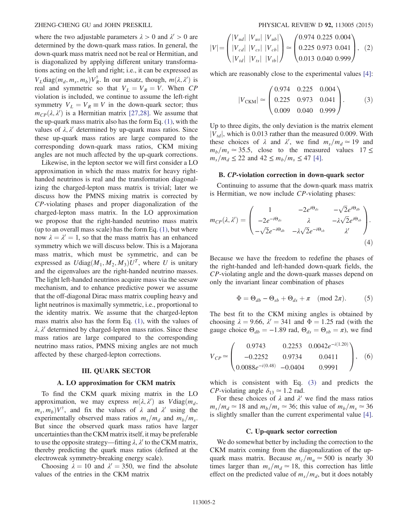where the two adjustable parameters  $\lambda > 0$  and  $\lambda' > 0$  are determined by the down-quark mass ratios. In general, the down-quark mass matrix need not be real or Hermitian, and is diagonalized by applying different unitary transformations acting on the left and right; i.e., it can be expressed as  $V_L$ diag $(m_d, m_s, m_b) V_R^{\dagger}$ . In our ansatz, though,  $m(\lambda, \lambda')$  is real and symmetric so that  $V_L = V_R = V$ . When CP violation is included, we continue to assume the left-right symmetry  $V_L = V_R \equiv V$  in the down-quark sector; thus  $m_{CP}(\lambda, \lambda')$  is a Hermitian matrix [\[27,28\].](#page-6-7) We assume that the up-quark mass matrix also has the form Eq. [\(1\),](#page-0-0) with the values of  $\lambda$ ,  $\lambda'$  determined by up-quark mass ratios. Since these up-quark mass ratios are large compared to the corresponding down-quark mass ratios, CKM mixing angles are not much affected by the up-quark corrections.

Likewise, in the lepton sector we will first consider a LO approximation in which the mass matrix for heavy righthanded neutrinos is real and the transformation diagonalizing the charged-lepton mass matrix is trivial; later we discuss how the PMNS mixing matrix is corrected by CP-violating phases and proper diagonalization of the charged-lepton mass matrix. In the LO approximation we propose that the right-handed neutrino mass matrix (up to an overall mass scale) has the form Eq.  $(1)$ , but where now  $\lambda = \lambda' = 1$ , so that the mass matrix has an enhanced symmetry which we will discuss below. This is a Majorana mass matrix, which must be symmetric, and can be expressed as  $U \text{diag}(M_1, M_2, M_3) U^T$ , where U is unitary and the eigenvalues are the right-handed neutrino masses. The light left-handed neutrinos acquire mass via the seesaw mechanism, and to enhance predictive power we assume that the off-diagonal Dirac mass matrix coupling heavy and light neutrinos is maximally symmetric, i.e., proportional to the identity matrix. We assume that the charged-lepton mass matrix also has the form Eq. [\(1\)](#page-0-0), with the values of  $\lambda$ ,  $\lambda'$  determined by charged-lepton mass ratios. Since these mass ratios are large compared to the corresponding neutrino mass ratios, PMNS mixing angles are not much affected by these charged-lepton corrections.

#### III. QUARK SECTOR

#### A. LO approximation for CKM matrix

To find the CKM quark mixing matrix in the LO approximation, we may express  $m(\lambda, \lambda')$  as  $V \text{diag}(m_d, \lambda')$  $m_s$ ,  $m_b$ ) $V^{\dagger}$ , and fix the values of  $\lambda$  and  $\lambda'$  using the experimentally observed mass ratios  $m_s/m_d$  and  $m_b/m_s$ . But since the observed quark mass ratios have larger uncertainties than the CKM matrix itself, it may be preferable to use the opposite strategy—fitting  $\lambda$ ,  $\lambda'$  to the CKM matrix, thereby predicting the quark mass ratios (defined at the electroweak symmetry-breaking energy scale).

Choosing  $\lambda = 10$  and  $\lambda' = 350$ , we find the absolute values of the entries in the CKM matrix

$$
|V| = \begin{pmatrix} |V_{ud}| & |V_{us}| & |V_{ub}| \\ |V_{cd}| & |V_{cs}| & |V_{cb}| \\ |V_{td}| & |V_{ts}| & |V_{tb}| \end{pmatrix} \approx \begin{pmatrix} 0.974 & 0.225 & 0.004 \\ 0.225 & 0.973 & 0.041 \\ 0.013 & 0.040 & 0.999 \end{pmatrix}, (2)
$$

<span id="page-1-0"></span>which are reasonably close to the experimental values [\[4\]](#page-6-8):

$$
|V_{\text{CKM}}| \simeq \begin{pmatrix} 0.974 & 0.225 & 0.004 \\ 0.225 & 0.973 & 0.041 \\ 0.009 & 0.040 & 0.999 \end{pmatrix} . \tag{3}
$$

Up to three digits, the only deviation is the matrix element  $|V_{td}|$ , which is 0.013 rather than the measured 0.009. With these choices of  $\lambda$  and  $\lambda'$ , we find  $m_s/m_d \approx 19$  and  $m_b/m_s \approx 35.5$ , close to the measured values 17 ≤  $m_s/m_d \leq 22$  and  $42 \leq m_b/m_s \leq 47$  [\[4\]](#page-6-8).

## B. CP-violation correction in down-quark sector

Continuing to assume that the down-quark mass matrix is Hermitian, we now include CP-violating phases:

$$
m_{CP}(\lambda, \lambda') = \begin{pmatrix} 1 & -2e^{i\Theta_{ds}} & -\sqrt{2}e^{i\Theta_{db}} \\ -2e^{-i\Theta_{ds}} & \lambda & -\lambda\sqrt{2}e^{i\Theta_{sb}} \\ -\sqrt{2}e^{-i\Theta_{db}} & -\lambda\sqrt{2}e^{-i\Theta_{sb}} & \lambda' \end{pmatrix}.
$$
\n(4)

Because we have the freedom to redefine the phases of the right-handed and left-handed down-quark fields, the CP-violating angle and the down-quark masses depend on only the invariant linear combination of phases

$$
\Phi = \Theta_{db} - \Theta_{sb} + \Theta_{ds} + \pi \pmod{2\pi}.
$$
 (5)

The best fit to the CKM mixing angles is obtained by choosing  $\lambda = 9.66$ ,  $\lambda' = 341$  and  $\Phi = 1.25$  rad (with the gauge choice  $\Theta_{db} = -1.89$  rad,  $\Theta_{ds} = \Theta_{sb} = \pi$ ), we find

$$
V_{CP} \simeq \begin{pmatrix} 0.9743 & 0.2253 & 0.0042e^{-i(1.20)} \\ -0.2252 & 0.9734 & 0.0411 \\ 0.0088e^{-i(0.48)} & -0.0404 & 0.9991 \end{pmatrix}, (6)
$$

which is consistent with Eq. [\(3\)](#page-1-0) and predicts the *CP*-violating angle  $\delta_{13} \approx 1.2$  rad.

For these choices of  $\lambda$  and  $\lambda'$  we find the mass ratios  $m_s/m_d \simeq 18$  and  $m_b/m_s \simeq 36$ ; this value of  $m_b/m_s \simeq 36$ is slightly smaller than the current experimental value [\[4\]](#page-6-8).

### C. Up-quark sector correction

We do somewhat better by including the correction to the CKM matrix coming from the diagonalization of the upquark mass matrix. Because  $m_c/m_u \approx 500$  is nearly 30 times larger than  $m_s/m_d \approx 18$ , this correction has little effect on the predicted value of  $m_s/m_d$ , but it does notably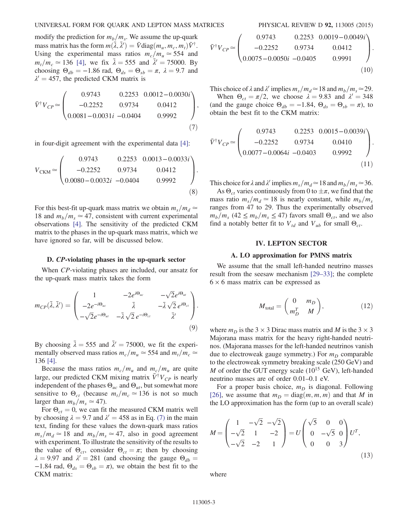## UNIVERSAL FORM FOR QUARK AND LEPTON MASS MATRICES PHYSICAL REVIEW D 92, 113005 (2015)

modify the prediction for  $m_b/m_s$ . We assume the up-quark mass matrix has the form  $m(\bar{\lambda}, \bar{\lambda}') = \bar{V} \text{diag}(m_u, m_c, m_t) \bar{V}^{\dagger}$ . Using the experimental mass ratios  $m_c/m_u \approx 554$  and  $m_t/m_c \approx 136$  [\[4\],](#page-6-8) we fix  $\bar{\lambda} = 555$  and  $\bar{\lambda}' = 75000$ . By choosing  $\Theta_{db} = -1.86$  rad,  $\Theta_{ds} = \Theta_{sb} = \pi$ ,  $\lambda = 9.7$  and  $\lambda' = 457$ , the predicted CKM matrix is

<span id="page-2-0"></span>
$$
\bar{V}^{\dagger}V_{CP} \simeq \begin{pmatrix} 0.9743 & 0.2253 & 0.0012 - 0.0030i \\ -0.2252 & 0.9734 & 0.0412 \\ 0.0081 - 0.0031i & -0.0404 & 0.9992 \end{pmatrix},
$$
\n(7)

in four-digit agreement with the experimental data [\[4\]:](#page-6-8)

$$
V_{\text{CKM}} \simeq \begin{pmatrix} 0.9743 & 0.2253 & 0.0013 - 0.0033i \\ -0.2252 & 0.9734 & 0.0412 \\ 0.0080 - 0.0032i & -0.0404 & 0.9992 \end{pmatrix}.
$$
\n(8)

For this best-fit up-quark mass matrix we obtain  $m_s/m_d \simeq$ 18 and  $m_b/m_s \simeq 47$ , consistent with current experimental observations [\[4\]](#page-6-8). The sensitivity of the predicted CKM matrix to the phases in the up-quark mass matrix, which we have ignored so far, will be discussed below.

#### D. CP-violating phases in the up-quark sector

When CP-violating phases are included, our ansatz for the up-quark mass matrix takes the form

$$
m_{CP}(\bar{\lambda}, \bar{\lambda}') = \begin{pmatrix} 1 & -2e^{i\Theta_{uc}} & -\sqrt{2}e^{i\Theta_{ut}} \\ -2e^{-i\Theta_{uc}} & \bar{\lambda} & -\bar{\lambda}\sqrt{2}e^{i\Theta_{ct}} \\ -\sqrt{2}e^{-i\Theta_{ut}} & -\bar{\lambda}\sqrt{2}e^{-i\Theta_{ct}} & \bar{\lambda}' \end{pmatrix}.
$$
\n
$$
(9)
$$

By choosing  $\bar{\lambda} = 555$  and  $\bar{\lambda}' = 75000$ , we fit the experimentally observed mass ratios  $m_c/m_u \approx 554$  and  $m_t/m_c \approx$ 136 [\[4\].](#page-6-8)

Because the mass ratios  $m_c/m_u$  and  $m_c/m_u$  are quite large, our predicted CKM mixing matrix  $\bar{V}^{\dagger}V_{CP}$  is nearly independent of the phases  $\Theta_{uc}$  and  $\Theta_{ut}$ , but somewhat more sensitive to  $\Theta_{ct}$  (because  $m_t/m_c \simeq 136$  is not so much larger than  $m_b/m_s \simeq 47$ ).

For  $\Theta_{ct} = 0$ , we can fit the measured CKM matrix well by choosing  $\lambda = 9.7$  and  $\lambda' = 458$  as in Eq. [\(7\)](#page-2-0) in the main text, finding for these values the down-quark mass ratios  $m_s/m_d \simeq 18$  and  $m_b/m_s \simeq 47$ , also in good agreement with experiment. To illustrate the sensitivity of the results to the value of  $\Theta_{ct}$ , consider  $\Theta_{ct} = \pi$ ; then by choosing  $\lambda = 9.97$  and  $\lambda' = 281$  (and choosing the gauge  $\Theta_{db} =$ −1.84 rad,  $\Theta_{ds} = \Theta_{sb} = \pi$ ), we obtain the best fit to the CKM matrix:

$$
\bar{V}^{\dagger}V_{CP} \simeq \begin{pmatrix} 0.9743 & 0.2253 & 0.0019 - 0.0049i \\ -0.2252 & 0.9734 & 0.0412 \\ 0.0075 - 0.0050i & -0.0405 & 0.9991 \end{pmatrix}.
$$
\n(10)

This choice of  $\lambda$  and  $\lambda'$  implies  $m_s/m_d \approx 18$  and  $m_b/m_s \approx 29$ . When  $\Theta_{ct} = \pi/2$ , we choose  $\lambda = 9.83$  and  $\lambda' = 348$ (and the gauge choice  $\Theta_{db} = -1.84$ ,  $\Theta_{ds} = \Theta_{sb} = \pi$ ), to obtain the best fit to the CKM matrix:

$$
\bar{V}^{\dagger}V_{CP} \simeq \begin{pmatrix} 0.9743 & 0.2253 & 0.0015 - 0.0039i \\ -0.2252 & 0.9734 & 0.0410 \\ 0.0077 - 0.0064i & -0.0403 & 0.9992 \end{pmatrix}.
$$
\n(11)

This choice for  $\lambda$  and  $\lambda'$  implies  $m_s/m_d \simeq 18$  and  $m_b/m_s \simeq 36$ .

As  $\Theta_{ct}$  varies continuously from 0 to  $\pm \pi$ , we find that the mass ratio  $m_s/m_d \simeq 18$  is nearly constant, while  $m_b/m_s$ ranges from 47 to 29. Thus the experimentally observed  $m_b/m_s$  (42  $\leq m_b/m_s \leq 47$ ) favors small  $\Theta_{ct}$ , and we also find a notably better fit to  $V_{td}$  and  $V_{ub}$  for small  $\Theta_{ct}$ .

# IV. LEPTON SECTOR

### A. LO approximation for PMNS matrix

<span id="page-2-3"></span>We assume that the small left-handed neutrino masses result from the seesaw mechanism [\[29](#page-6-9)–33]; the complete  $6 \times 6$  mass matrix can be expressed as

$$
M_{\text{total}} = \begin{pmatrix} 0 & m_D \\ m_D^T & M \end{pmatrix}, \tag{12}
$$

where  $m_D$  is the 3  $\times$  3 Dirac mass matrix and M is the 3  $\times$  3 Majorana mass matrix for the heavy right-handed neutrinos. (Majorana masses for the left-handed neutrinos vanish due to electroweak gauge symmetry.) For  $m<sub>D</sub>$  comparable to the electroweak symmetry breaking scale (250 GeV) and  $M$  of order the GUT energy scale (10<sup>15</sup> GeV), left-handed neutrino masses are of order 0.01–0.1 eV.

<span id="page-2-2"></span>For a proper basis choice,  $m_D$  is diagonal. Following [\[26\]](#page-6-6), we assume that  $m_D = \text{diag}(m, m, m)$  and that M in the LO approximation has the form (up to an overall scale)

<span id="page-2-1"></span>
$$
M = \begin{pmatrix} 1 & -\sqrt{2} & -\sqrt{2} \\ -\sqrt{2} & 1 & -2 \\ -\sqrt{2} & -2 & 1 \end{pmatrix} = U \begin{pmatrix} \sqrt{5} & 0 & 0 \\ 0 & -\sqrt{5} & 0 \\ 0 & 0 & 3 \end{pmatrix} U^T,
$$
\n(13)

where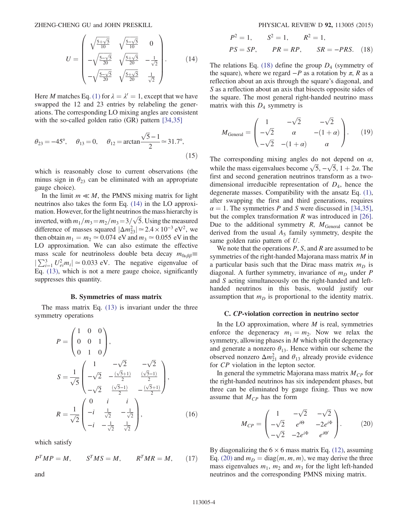ZHENG-CHENG GU and JOHN PRESKILL PHYSICAL REVIEW D 92, 113005 (2015)

$$
U = \begin{pmatrix} \sqrt{\frac{5+\sqrt{5}}{10}} & \sqrt{\frac{5-\sqrt{5}}{10}} & 0\\ -\sqrt{\frac{5-\sqrt{5}}{20}} & \sqrt{\frac{5+\sqrt{5}}{20}} & -\frac{1}{\sqrt{2}}\\ -\sqrt{\frac{5-\sqrt{5}}{20}} & \sqrt{\frac{5+\sqrt{5}}{20}} & \frac{1}{\sqrt{2}} \end{pmatrix} .
$$
 (14)

Here *M* matches Eq. [\(1\)](#page-0-0) for  $\lambda = \lambda' = 1$ , except that we have swapped the 12 and 23 entries by relabeling the generations. The corresponding LO mixing angles are consistent with the so-called golden ratio (GR) pattern [\[34,35\]](#page-6-10)

$$
\theta_{23} = -45^{\circ}
$$
,  $\theta_{13} = 0$ ,  $\theta_{12} = \arctan \frac{\sqrt{5} - 1}{2} \approx 31.7^{\circ}$ , (15)

which is reasonably close to current observations (the minus sign in  $\theta_{23}$  can be eliminated with an appropriate gauge choice).

In the limit  $m \ll M$ , the PMNS mixing matrix for light neutrinos also takes the form Eq. [\(14\)](#page-2-1) in the LO approximation. However, for the light neutrinos the mass hierarchy is inverted, with  $m_1/m_3 = m_2/m_3 = 3/\sqrt{5}$ . Using the measured difference of masses squared  $|\Delta m_{23}^2| \approx 2.4 \times 10^{-3} \text{ eV}^2$ , we then obtain  $m_1 = m_2 \approx 0.074$  eV and  $m_3 \approx 0.055$  eV in the LO approximation. We can also estimate the effective mass scale for neutrinoless double beta decay  $m_{0\nu\beta\beta}$  $|\sum_{i=1}^{3} U_{ei}^2 m_i| \approx 0.033$  eV. The negative eigenvalue of Eq. [\(13\)](#page-2-2), which is not a mere gauge choice, significantly suppresses this quantity.

## B. Symmetries of mass matrix

The mass matrix Eq. [\(13\)](#page-2-2) is invariant under the three symmetry operations

$$
P = \begin{pmatrix} 1 & 0 & 0 \\ 0 & 0 & 1 \\ 0 & 1 & 0 \end{pmatrix},
$$
  
\n
$$
S = \frac{1}{\sqrt{5}} \begin{pmatrix} 1 & -\sqrt{2} & -\sqrt{2} \\ -\sqrt{2} & -\frac{(\sqrt{5}+1)}{2} & \frac{(\sqrt{5}-1)}{2} \\ -\sqrt{2} & \frac{(\sqrt{5}-1)}{2} & -\frac{(\sqrt{5}+1)}{2} \end{pmatrix},
$$
  
\n
$$
R = \frac{1}{\sqrt{2}} \begin{pmatrix} 0 & i & i \\ -i & \frac{1}{\sqrt{2}} & -\frac{1}{\sqrt{2}} \\ -i & -\frac{1}{\sqrt{2}} & \frac{1}{\sqrt{2}} \end{pmatrix},
$$
(16)

which satisfy

$$
P^T MP = M, \qquad S^T MS = M, \qquad R^T MR = M, \qquad (17)
$$

<span id="page-3-0"></span>and

$$
P^2 = 1,
$$
  $S^2 = 1,$   $R^2 = 1,$   
\n $PS = SP,$   $PR = RP,$   $SR = -PRS.$  (18)

The relations Eq. [\(18\)](#page-3-0) define the group  $D_4$  (symmetry of the square), where we regard  $-P$  as a rotation by  $\pi$ , R as a reflection about an axis through the square's diagonal, and S as a reflection about an axis that bisects opposite sides of the square. The most general right-handed neutrino mass matrix with this  $D_4$  symmetry is

$$
M_{\text{General}} = \begin{pmatrix} 1 & -\sqrt{2} & -\sqrt{2} \\ -\sqrt{2} & \alpha & -(1+\alpha) \\ -\sqrt{2} & -(1+\alpha) & \alpha \end{pmatrix} . \tag{19}
$$

The corresponding mixing angles do not depend on  $\alpha$ , while the mass eigenvalues become  $\sqrt{5}$ ,  $-\sqrt{5}$ ,  $1 + 2\alpha$ . The first and second generation neutrinos transform as a twodimensional irreducible representation of  $D_4$ , hence the degenerate masses. Compatibility with the ansatz Eq. [\(1\)](#page-0-0), after swapping the first and third generations, requires  $\alpha = 1$ . The symmetries P and S were discussed in [\[34,35\]](#page-6-10), but the complex transformation  $R$  was introduced in [\[26\]](#page-6-6). Due to the additional symmetry  $R$ ,  $M_{\text{General}}$  cannot be derived from the usual  $A_5$  family symmetry, despite the same golden ratio pattern of U.

We note that the operations  $P$ ,  $S$ , and  $R$  are assumed to be symmetries of the right-handed Majorana mass matrix M in a particular basis such that the Dirac mass matrix  $m_D$  is diagonal. A further symmetry, invariance of  $m<sub>D</sub>$  under P and S acting simultaneously on the right-handed and lefthanded neutrinos in this basis, would justify our assumption that  $m_D$  is proportional to the identity matrix.

#### C. CP-violation correction in neutrino sector

In the LO approximation, where  $M$  is real, symmetries enforce the degeneracy  $m_1 = m_2$ . Now we relax the symmetry, allowing phases in  $M$  which split the degeneracy and generate a nonzero  $\theta_{13}$ . Hence within our scheme the observed nonzero  $\Delta m_{21}^2$  and  $\theta_{13}$  already provide evidence for CP violation in the lepton sector.

<span id="page-3-1"></span>In general the symmetric Majorana mass matrix  $M_{CP}$  for the right-handed neutrinos has six independent phases, but three can be eliminated by gauge fixing. Thus we now assume that  $M_{CP}$  has the form

$$
M_{CP} = \begin{pmatrix} 1 & -\sqrt{2} & -\sqrt{2} \\ -\sqrt{2} & e^{i\Theta} & -2e^{i\Phi} \\ -\sqrt{2} & -2e^{i\Phi} & e^{i\Theta'} \end{pmatrix} . \tag{20}
$$

By diagonalizing the  $6 \times 6$  mass matrix Eq. [\(12\),](#page-2-3) assuming Eq. [\(20\)](#page-3-1) and  $m_D = \text{diag}(m, m, m)$ , we may derive the three mass eigenvalues  $m_1$ ,  $m_2$  and  $m_3$  for the light left-handed neutrinos and the corresponding PMNS mixing matrix.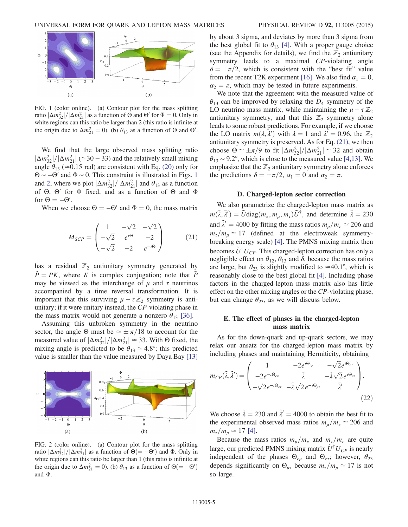<span id="page-4-0"></span>

FIG. 1 (color online). (a) Contour plot for the mass splitting ratio  $|\Delta m_{32}^2|/|\Delta m_{21}^2|$  as a function of Θ and Θ' for  $\Phi = 0$ . Only in white regions can this ratio be larger than 2 (this ratio is infinite at the origin due to  $\Delta m_{21}^2 = 0$ ). (b)  $\theta_{13}$  as a function of  $\Theta$  and  $\Theta'$ .

We find that the large observed mass splitting ratio  $|\Delta m_{32}^2|/|\Delta m_{21}^2|$  (≈30 – 33) and the relatively small mixing angle  $\theta_{13}$  (≈0.15 rad) are consistent with Eq. [\(20\)](#page-3-1) only for  $\Theta \sim -\Theta'$  and  $\Phi \sim 0$ . This constraint is illustrated in Figs. [1](#page-4-0) and [2](#page-4-1), where we plot  $\left|\Delta m_{32}^2\right|/\left|\Delta m_{21}^2\right|$  and  $\theta_{13}$  as a function of  $\Theta$ ,  $\Theta'$  for  $\Phi$  fixed, and as a function of  $\Theta$  and  $\Phi$ for  $\Theta = -\Theta'$ .

<span id="page-4-2"></span>When we choose  $\Theta = -\Theta'$  and  $\Phi = 0$ , the mass matrix

$$
M_{SCP} = \begin{pmatrix} 1 & -\sqrt{2} & -\sqrt{2} \\ -\sqrt{2} & e^{i\Theta} & -2 \\ -\sqrt{2} & -2 & e^{-i\Theta} \end{pmatrix} \tag{21}
$$

has a residual  $\mathbb{Z}_2$  antiunitary symmetry generated by  $P = PK$ , where K is complex conjugation; note that P may be viewed as the interchange of  $\mu$  and  $\tau$  neutrinos accompanied by a time reversal transformation. It is important that this surviving  $\mu - \tau \mathbb{Z}_2$  symmetry is antiunitary; if it were unitary instead, the CP-violating phase in the mass matrix would not generate a nonzero  $\theta_{13}$  [\[36\]](#page-6-11).

Assuming this unbroken symmetry in the neutrino sector, the angle Θ must be  $\approx \pm \pi/18$  to account for the measured value of  $|\Delta m_{32}^2|/|\Delta m_{21}^2| \approx 33$ . With Θ fixed, the mixing angle is predicted to be  $\theta_{13} \approx 4.8^{\circ}$ ; this predicted value is smaller than the value measured by Daya Bay [\[13\]](#page-6-12)

<span id="page-4-1"></span>

FIG. 2 (color online). (a) Contour plot for the mass splitting ratio  $|\Delta m_{32}^2|/|\Delta m_{21}^2|$  as a function of  $\Theta (= -\Theta')$  and  $\Phi$ . Only in white regions can this ratio be larger than 1 (this ratio is infinite at the origin due to  $\Delta m_{21}^2 = 0$ ). (b)  $\theta_{13}$  as a function of  $\Theta = -\Theta'$ ) and Φ.

by about 3 sigma, and deviates by more than 3 sigma from the best global fit to  $\theta_{13}$  [\[4\].](#page-6-8) With a proper gauge choice (see the Appendix for details), we find the  $\mathbb{Z}_2$  antiunitary symmetry leads to a maximal CP-violating angle  $\delta = \pm \pi/2$ , which is consistent with the "best fit" value from the recent T2K experiment [\[16\].](#page-6-13) We also find  $\alpha_1 = 0$ ,  $\alpha_2 = \pi$ , which may be tested in future experiments.

We note that the agreement with the measured value of  $\theta_{13}$  can be improved by relaxing the  $D_4$  symmetry of the LO neutrino mass matrix, while maintaining the  $\mu - \tau \mathbb{Z}_2$ antiunitary symmetry, and that this  $\mathbb{Z}_2$  symmetry alone leads to some robust predictions. For example, if we choose the LO matrix  $m(\lambda, \lambda')$  with  $\lambda = 1$  and  $\lambda' = 0.96$ , the  $\mathbb{Z}_2$ antiunitary symmetry is preserved. As for Eq. [\(21\),](#page-4-2) we then choose  $\Theta \simeq \pm \pi/9$  to fit  $|\Delta m_{32}^2|/|\Delta m_{21}^2| \simeq 32$  and obtain  $\theta_{13}$  ~ 9.2°, which is close to the measured value [\[4,13\]](#page-6-8). We emphasize that the  $\mathbb{Z}_2$  antiunitary symmetry alone enforces the predictions  $\delta = \pm \pi/2$ ,  $\alpha_1 = 0$  and  $\alpha_2 = \pi$ .

## D. Charged-lepton sector correction

We also parametrize the charged-lepton mass matrix as  $m(\tilde{\lambda}, \tilde{\lambda}') = \tilde{U} \text{diag}(m_e, m_\mu, m_\tau) \tilde{U}^\dagger$ , and determine  $\tilde{\lambda} = 230$ and  $\tilde{\lambda}' = 4000$  by fitting the mass ratios  $m_{\mu}/m_e \simeq 206$  and  $m_{\tau}/m_{\mu} \simeq 17$  (defined at the electroweak symmetrybreaking energy scale) [\[4\]](#page-6-8). The PMNS mixing matrix then becomes  $\tilde{U}^{\dagger}U_{CP}$ . This charged-lepton correction has only a negligible effect on  $\theta_{12}$ ,  $\theta_{13}$  and  $\delta$ , because the mass ratios are large, but  $\theta_{23}$  is slightly modified to ≃40.1°, which is reasonably close to the best global fit [\[4\].](#page-6-8) Including phase factors in the charged-lepton mass matrix also has little effect on the other mixing angles or the CP-violating phase, but can change  $\theta_{23}$ , as we will discuss below.

## E. The effect of phases in the charged-lepton mass matrix

As for the down-quark and up-quark sectors, we may relax our ansatz for the charged-lepton mass matrix by including phases and maintaining Hermiticity, obtaining

$$
m_{CP}(\tilde{\lambda}, \tilde{\lambda}') = \begin{pmatrix} 1 & -2e^{i\Theta_{e\mu}} & -\sqrt{2}e^{i\Theta_{e\tau}} \\ -2e^{-i\Theta_{e\mu}} & \tilde{\lambda} & -\tilde{\lambda}\sqrt{2}e^{i\Theta_{\mu\tau}} \\ -\sqrt{2}e^{-i\Theta_{e\tau}} & -\tilde{\lambda}\sqrt{2}e^{-i\Theta_{\mu\tau}} & \tilde{\lambda}' \end{pmatrix}.
$$
\n(22)

We choose  $\tilde{\lambda} = 230$  and  $\tilde{\lambda}' = 4000$  to obtain the best fit to the experimental observed mass ratios  $m_{\mu}/m_e \simeq 206$  and  $m_{\tau}/m_{\mu} \simeq 17$  [\[4\].](#page-6-8)

Because the mass ratios  $m_{\mu}/m_e$  and  $m_{\tau}/m_e$  are quite large, our predicted PMNS mixing matrix  $\tilde{U}^{\dagger}U_{CP}$  is nearly independent of the phases  $\Theta_{e\mu}$  and  $\Theta_{e\tau}$ ; however,  $\theta_{23}$ depends significantly on  $\Theta_{\mu\tau}$  because  $m_{\tau}/m_{\mu} \simeq 17$  is not so large.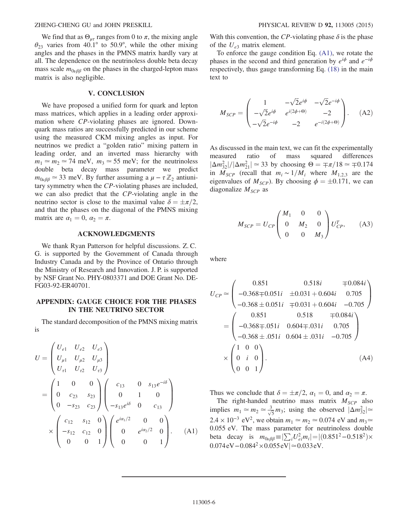## ZHENG-CHENG GU and JOHN PRESKILL PHYSICAL REVIEW D 92, 113005 (2015)

We find that as  $\Theta_{\mu\tau}$  ranges from 0 to  $\pi$ , the mixing angle  $\theta_{23}$  varies from 40.1° to 50.9°, while the other mixing angles and the phases in the PMNS matrix hardly vary at all. The dependence on the neutrinoless double beta decay mass scale  $m_{0\nu\beta\beta}$  on the phases in the charged-lepton mass matrix is also negligible.

#### V. CONCLUSION

We have proposed a unified form for quark and lepton mass matrices, which applies in a leading order approximation where CP-violating phases are ignored. Downquark mass ratios are successfully predicted in our scheme using the measured CKM mixing angles as input. For neutrinos we predict a "golden ratio" mixing pattern in leading order, and an inverted mass hierarchy with  $m_1 \simeq m_2 \simeq 74$  meV,  $m_3 \simeq 55$  meV; for the neutrinoless double beta decay mass parameter we predict  $m_{0\nu\beta\beta} \approx 33$  meV. By further assuming a  $\mu - \tau \mathbb{Z}_2$  antiunitary symmetry when the CP-violating phases are included, we can also predict that the CP-violating angle in the neutrino sector is close to the maximal value  $\delta = \pm \pi/2$ , and that the phases on the diagonal of the PMNS mixing matrix are  $\alpha_1 = 0$ ,  $\alpha_2 = \pi$ .

## ACKNOWLEDGMENTS

We thank Ryan Patterson for helpful discussions. Z. C. G. is supported by the Government of Canada through Industry Canada and by the Province of Ontario through the Ministry of Research and Innovation. J. P. is supported by NSF Grant No. PHY-0803371 and DOE Grant No. DE-FG03-92-ER40701.

# APPENDIX: GAUGE CHOICE FOR THE PHASES IN THE NEUTRINO SECTOR

<span id="page-5-0"></span>The standard decomposition of the PMNS mixing matrix is

$$
U = \begin{pmatrix} U_{e1} & U_{e2} & U_{e3} \\ U_{\mu 1} & U_{\mu 2} & U_{\mu 3} \\ U_{\tau 1} & U_{\tau 2} & U_{\tau 3} \end{pmatrix}
$$
  
= 
$$
\begin{pmatrix} 1 & 0 & 0 \\ 0 & c_{23} & s_{23} \\ 0 & -s_{23} & c_{23} \end{pmatrix} \begin{pmatrix} c_{13} & 0 & s_{13}e^{-i\delta} \\ 0 & 1 & 0 \\ -s_{13}e^{i\delta} & 0 & c_{13} \end{pmatrix}
$$
  

$$
\times \begin{pmatrix} c_{12} & s_{12} & 0 \\ -s_{12} & c_{12} & 0 \\ 0 & 0 & 1 \end{pmatrix} \begin{pmatrix} e^{i\alpha_1/2} & 0 & 0 \\ 0 & e^{i\alpha_2/2} & 0 \\ 0 & 0 & 1 \end{pmatrix}.
$$
 (A1)

With this convention, the CP-violating phase  $\delta$  is the phase of the  $U_{e3}$  matrix element.

To enforce the gauge condition Eq. [\(A1\),](#page-5-0) we rotate the phases in the second and third generation by  $e^{i\phi}$  and  $e^{-i\phi}$ respectively, thus gauge transforming Eq. [\(18\)](#page-3-0) in the main text to

$$
M_{SCP} = \begin{pmatrix} 1 & -\sqrt{2}e^{i\phi} & -\sqrt{2}e^{-i\phi} \\ -\sqrt{2}e^{i\phi} & e^{i(2\phi+\Theta)} & -2 \\ -\sqrt{2}e^{-i\phi} & -2 & e^{-i(2\phi+\Theta)} \end{pmatrix} . \tag{A2}
$$

As discussed in the main text, we can fit the experimentally measured ratio of mass squared differences  $|\Delta m_{32}^2|/|\Delta m_{21}^2| \simeq 33$  by choosing  $\Theta = \pm \pi/18 \simeq \pm 0.174$ in  $M_{SCP}$  (recall that  $m_i \sim 1/M_i$  where  $M_{1,2,3}$  are the eigenvalues of  $M_{\text{SCP}}$ ). By choosing  $\phi = \pm 0.171$ , we can diagonalize  $M_{\text{SCP}}$  as

$$
M_{SCP} = U_{CP} \begin{pmatrix} M_1 & 0 & 0 \\ 0 & M_2 & 0 \\ 0 & 0 & M_3 \end{pmatrix} U_{CP}^T,
$$
 (A3)

where

$$
U_{CP} \approx \begin{pmatrix} 0.851 & 0.518i & \mp 0.084i \\ -0.368 \mp 0.051i & \pm 0.031 + 0.604i & 0.705 \\ -0.368 \pm 0.051i & \mp 0.031 + 0.604i & -0.705 \end{pmatrix}
$$

$$
= \begin{pmatrix} 0.851 & 0.518 & \mp 0.084i \\ -0.368 \mp .051i & 0.604 \mp .031i & 0.705 \\ -0.368 \pm .051i & 0.604 \pm .031i & -0.705 \end{pmatrix}
$$

$$
\times \begin{pmatrix} 1 & 0 & 0 \\ 0 & i & 0 \\ 0 & 0 & 1 \end{pmatrix}.
$$
(A4)

Thus we conclude that  $\delta = \pm \pi/2$ ,  $\alpha_1 = 0$ , and  $\alpha_2 = \pi$ .

The right-handed neutrino mass matrix  $M_{SCP}$  also implies  $m_1 \simeq m_2 \simeq \frac{3}{\sqrt{5}} m_3$ ; using the observed  $|\Delta m_{32}^2| \simeq$  $2.4 \times 10^{-3}$  eV<sup>2</sup>, we obtain  $m_1 \simeq m_2 \simeq 0.074$  eV and  $m_3 \simeq$ 0.055 eV. The mass parameter for neutrinoless double beta decay is  $m_{0\nu\beta\beta} \equiv |\sum_i U_{ei}^2 m_i| = |(0.851^2 - 0.518^2) \times$  $0.074 \text{ eV} - 0.084^2 \times 0.055 \text{ eV} \approx 0.033 \text{ eV}.$